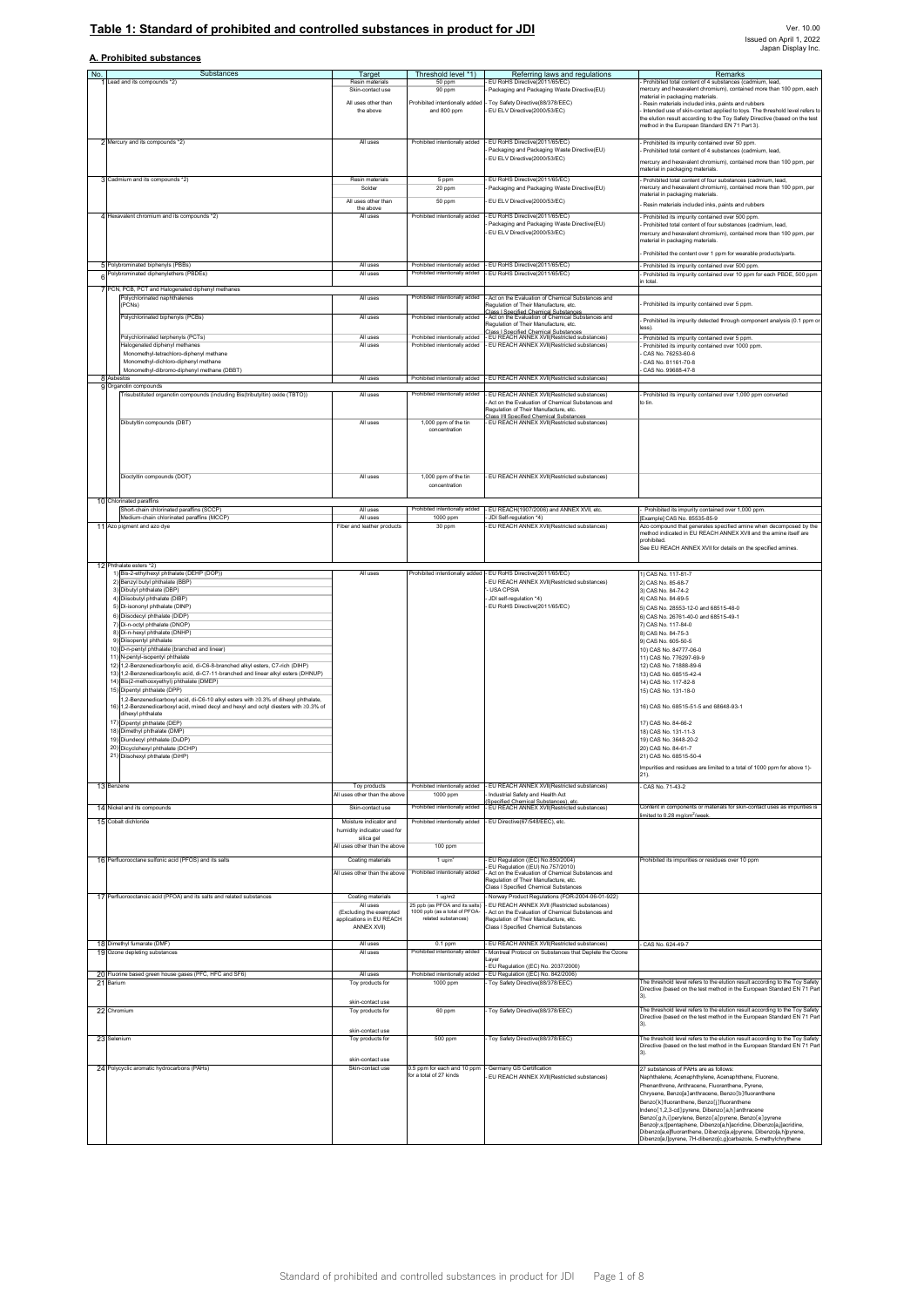# **Table 1: Standard of prohibited and controlled substances in product for JDI**

## **A. Prohibited substances**

| No. | Substances                                                                                                                                                             | Target                                                | Threshold level *1)                                    | Referring laws and regulations                                                                 | Remarks                                                                                                                                                    |
|-----|------------------------------------------------------------------------------------------------------------------------------------------------------------------------|-------------------------------------------------------|--------------------------------------------------------|------------------------------------------------------------------------------------------------|------------------------------------------------------------------------------------------------------------------------------------------------------------|
|     | Lead and its compounds *2)                                                                                                                                             | Resin material                                        | 50 ppm                                                 | EU RoHS Directive(2011/65/EC)                                                                  | Prohibited total content of 4 substances (cadmium, lead,                                                                                                   |
|     |                                                                                                                                                                        | Skin-contact use                                      | 90 ppm                                                 | Packaging and Packaging Waste Directive(EU)                                                    | nercury and hexavalent chromium), contained more than 100 ppm, each<br>naterial in packaging materials.                                                    |
|     |                                                                                                                                                                        | All uses other than                                   | Prohibited intentionally added                         | Toy Safety Directive(88/378/EEC)                                                               | Resin materials included inks, paints and rubbers                                                                                                          |
|     |                                                                                                                                                                        | the above                                             | and 800 ppm                                            | EU ELV Directive(2000/53/EC)                                                                   | Intended use of skin-contact applied to toys. The threshold level refers to<br>the elution result according to the Toy Safety Directive (based on the test |
|     |                                                                                                                                                                        |                                                       |                                                        |                                                                                                | nethod in the European Standard EN 71 Part 3).                                                                                                             |
|     | 2 Mercury and its compounds *2)                                                                                                                                        | All uses                                              | Prohibited intentionally added                         | - EU RoHS Directive(2011/65/EC)                                                                | Prohibited its impurity contained over 50 ppm.                                                                                                             |
|     |                                                                                                                                                                        |                                                       |                                                        | Packaging and Packaging Waste Directive(EU)                                                    | Prohibited total content of 4 substances (cadmium, lead                                                                                                    |
|     |                                                                                                                                                                        |                                                       |                                                        | EU ELV Directive(2000/53/EC)                                                                   | mercury and hexavalent chromium), contained more than 100 ppm, per                                                                                         |
|     |                                                                                                                                                                        | Resin materials                                       |                                                        |                                                                                                | naterial in packaging materials.                                                                                                                           |
|     | 3 Cadmium and its compounds *2)                                                                                                                                        | Solder                                                | 5 ppm<br>20 ppm                                        | EU RoHS Directive(2011/65/EC)<br>Packaging and Packaging Waste Directive(EU)                   | Prohibited total content of four substances (cadmium, lead,<br>mercury and hexavalent chromium), contained more than 100 ppm, per                          |
|     |                                                                                                                                                                        | All uses other than                                   | 50 ppm                                                 | EU ELV Directive(2000/53/EC)                                                                   | naterial in packaging materials.                                                                                                                           |
|     |                                                                                                                                                                        | the above                                             |                                                        |                                                                                                | Resin materials included inks, paints and rubbers                                                                                                          |
|     | 4 Hexavalent chromium and its compounds *2)                                                                                                                            | All uses                                              | Prohibited intentionally added                         | - EU RoHS Directive(2011/65/EC)<br>Packaging and Packaging Waste Directive(EU)                 | Prohibited its impurity contained over 500 ppm.<br>Prohibited total content of four substances (cadmium, lead,                                             |
|     |                                                                                                                                                                        |                                                       |                                                        | EU ELV Directive(2000/53/EC)                                                                   | mercury and hexavalent chromium), contained more than 100 ppm, per                                                                                         |
|     |                                                                                                                                                                        |                                                       |                                                        |                                                                                                | naterial in packaging materials.                                                                                                                           |
|     |                                                                                                                                                                        |                                                       |                                                        |                                                                                                | Prohibited the content over 1 ppm for wearable products/parts.                                                                                             |
|     | 5 Polybrominated biphenyls (PBBs)                                                                                                                                      | All uses                                              | Prohibited intentionally added                         | EU RoHS Directive(2011/65/EC)                                                                  | Prohibited its impurity contained over 500 ppm.                                                                                                            |
| 6   | olybrominated diphenylethers (PBDEs)                                                                                                                                   | All uses                                              | Prohibited intentionally added                         | EU RoHS Directive(2011/65/EC)                                                                  | Prohibited its impurity contained over 10 ppm for each PBDE, 500 ppm<br>total                                                                              |
|     | 7 PCN, PCB, PCT and Halogenated diphenyl methanes                                                                                                                      |                                                       |                                                        |                                                                                                |                                                                                                                                                            |
|     | Polychlorinated naphthalenes<br>(PCNs)                                                                                                                                 | All uses                                              | Prohibited intentionally added                         | Act on the Evaluation of Chemical Substances and<br>Regulation of Their Manufacture, etc.      | Prohibited its impurity contained over 5 ppm.                                                                                                              |
|     | Polychlorinated biphenyls (PCBs)                                                                                                                                       | All uses                                              | Prohibited intentionally added                         | Class I Snecified Chemical Substances.<br>Act on the Evaluation of Chemical Substances and     |                                                                                                                                                            |
|     |                                                                                                                                                                        |                                                       |                                                        | Regulation of Their Manufacture, etc.                                                          | Prohibited its impurity detected through component analysis (0.1 ppm or<br>ess)                                                                            |
|     | Polychlorinated terphenyls (PCTs)                                                                                                                                      | All uses                                              | Prohibited intentionally added                         | .<br>Class I Snecified Chemical Substances<br>- EU REACH ANNEX XVII(Restricted substances)     | Prohibited its impurity contained over 5 ppm.                                                                                                              |
|     | Halogenated diphenyl methanes<br>Monomethyl-tetrachloro-diphenyl methane                                                                                               | All uses                                              | Prohibited intentionally added                         | EU REACH ANNEX XVII(Restricted substances)                                                     | Prohibited its impurity contained over 1000 ppm.<br>CAS No. 76253-60-6                                                                                     |
|     | Monomethyl-dichloro-diphenyl methane                                                                                                                                   |                                                       |                                                        |                                                                                                | CAS No. 81161-70-8                                                                                                                                         |
|     | Monomethyl-dibromo-diphenyl methane (DBBT)                                                                                                                             |                                                       |                                                        | Prohibited intentionally added - EU REACH ANNEX XVIIIRestricted substances)                    | CAS No. 99688-47-8                                                                                                                                         |
|     | 8 Asbestos<br>9 Organotin compounds                                                                                                                                    | All uses                                              |                                                        |                                                                                                |                                                                                                                                                            |
|     | Trisubstituted organotin compounds (including Bis(tributyltin) oxide (TBTO))                                                                                           | All uses                                              | Prohibited intentionally added                         | EU REACH ANNEX XVII(Restricted substances)                                                     | Prohibited its impurity contained over 1,000 ppm converted                                                                                                 |
|     |                                                                                                                                                                        |                                                       |                                                        | Act on the Evaluation of Chemical Substances and<br>Regulation of Their Manufacture, etc.      | o tin.                                                                                                                                                     |
|     | Dibutyltin compounds (DBT)                                                                                                                                             | All uses                                              | 1,000 ppm of the tin                                   | .<br>Class I/II Specified Chemical Substances<br>EU REACH ANNEX XVII(Restricted substances)    |                                                                                                                                                            |
|     |                                                                                                                                                                        |                                                       | concentration                                          |                                                                                                |                                                                                                                                                            |
|     |                                                                                                                                                                        |                                                       |                                                        |                                                                                                |                                                                                                                                                            |
|     |                                                                                                                                                                        |                                                       |                                                        |                                                                                                |                                                                                                                                                            |
|     |                                                                                                                                                                        |                                                       |                                                        |                                                                                                |                                                                                                                                                            |
|     | Dioctyltin compounds (DOT)                                                                                                                                             | All uses                                              | 1.000 ppm of the tin                                   | EU REACH ANNEX XVII(Restricted substances)                                                     |                                                                                                                                                            |
|     |                                                                                                                                                                        |                                                       | concentration                                          |                                                                                                |                                                                                                                                                            |
|     | 10 Chlorinated paraffins                                                                                                                                               |                                                       |                                                        |                                                                                                |                                                                                                                                                            |
|     | Short-chain chlorinated paraffins (SCCP)<br>Medium-chain chlorinated paraffins (MCCP)                                                                                  | All uses<br>All uses                                  | Prohibited intentionally added<br>1000 ppm             | EU REACH(1907/2006) and ANNEX XVII. etc.<br>JDI Self-regulation *4)                            | Prohibited its impurity contained over 1,000 ppm.<br>Example] CAS No. 85535-85-9                                                                           |
|     | 11 Azo pigment and azo dye                                                                                                                                             | Fiber and leather products                            | 30 ppm                                                 | EU REACH ANNEX XVII(Restricted substances)                                                     | Azo compound that generates specified amine when decomposed by the                                                                                         |
|     |                                                                                                                                                                        |                                                       |                                                        |                                                                                                | nethod indicated in EU REACH ANNEX XVII and the amine itself are<br>prohibited                                                                             |
|     |                                                                                                                                                                        |                                                       |                                                        |                                                                                                | See EU REACH ANNEX XVII for details on the specified amines.                                                                                               |
|     | 12 Phthalate esters *2)                                                                                                                                                |                                                       |                                                        |                                                                                                |                                                                                                                                                            |
|     | 1) Bis-2-ethylhexyl phthalate (DEHP (DOP))                                                                                                                             | All uses                                              |                                                        | Prohibited intentionally added - EU RoHS Directive(2011/65/EC)                                 | 1) CAS No. 117-81-7                                                                                                                                        |
|     | 2) Benzyl butyl phthalate (BBP)<br>3) Dibutyl phthalate (DBP)                                                                                                          |                                                       |                                                        | EU REACH ANNEX XVII(Restricted substances)<br><b>USA CPSIA</b>                                 | 2) CAS No. 85-68-7<br>3) CAS No. 84-74-2                                                                                                                   |
|     | 4) Diisobutyl phthalate (DIBP)                                                                                                                                         |                                                       |                                                        | JDI self-regulation *4)                                                                        | 4) CAS No. 84-69-5                                                                                                                                         |
|     | 5) Di-isononyl phthalate (DINP)<br>6) Diisodecyl phthalate (DIDP)                                                                                                      |                                                       |                                                        | EU RoHS Directive(2011/65/EC)                                                                  | 5) CAS No. 28553-12-0 and 68515-48-0<br>6) CAS No. 26761-40-0 and 68515-49-1                                                                               |
|     | 7) Di-n-octyl phthalate (DNOP)                                                                                                                                         |                                                       |                                                        |                                                                                                | 7) CAS No. 117-84-0                                                                                                                                        |
|     | 8) Di-n-hexyl phthalate (DNHP)<br>9) Diisopentyl phthalate                                                                                                             |                                                       |                                                        |                                                                                                | 8) CAS No. 84-75-3<br>9) CAS No. 605-50-5                                                                                                                  |
|     | 10) D-n-pentyl phthalate (branched and linear)                                                                                                                         |                                                       |                                                        |                                                                                                | 10) CAS No. 84777-06-0                                                                                                                                     |
|     | 11) N-pentyl-isopentyl phthalate                                                                                                                                       |                                                       |                                                        |                                                                                                | 11) CAS No. 776297-69-9                                                                                                                                    |
|     | 12) 1,2-Benzenedicarboxylic acid, di-C6-8-branched alkyl esters, C7-rich (DIHP)<br>13) 1,2-Benzenedicarboxylic acid, di-C7-11-branched and linear alkyl esters (DHNUP) |                                                       |                                                        |                                                                                                | 12) CAS No. 71888-89-6<br>13) CAS No. 68515-42-4                                                                                                           |
|     | 14) Bis(2-methooxyethyl) phthalate (DMEP)                                                                                                                              |                                                       |                                                        |                                                                                                | 14) CAS No. 117-82-8                                                                                                                                       |
|     | 15) Dipentyl phthalate (DPP)<br>1,2-Benzenedicarboxyl acid, di-C6-10 alkyl esters with ≥0.3% of dihexyl phthalate,                                                     |                                                       |                                                        |                                                                                                | 15) CAS No. 131-18-0                                                                                                                                       |
|     | 16) 1,2-Benzenedicarboxyl acid, mixed decyl and hexyl and octyl diesters with 20.3% of                                                                                 |                                                       |                                                        |                                                                                                | 16) CAS No. 68515-51-5 and 68648-93-1                                                                                                                      |
|     | dihexyl phthalate<br>17) Dipentyl phthalate (DEP)                                                                                                                      |                                                       |                                                        |                                                                                                | 17) CAS No. 84-66-2                                                                                                                                        |
|     | 18) Dimethyl phthalate (DMP)                                                                                                                                           |                                                       |                                                        |                                                                                                | 18) CAS No. 131-11-3                                                                                                                                       |
|     | 19) Diundecyl phthalate (DuDP)<br>20) Dicyclohexyl phthalate (DCHP)                                                                                                    |                                                       |                                                        |                                                                                                | 19) CAS No. 3648-20-2<br>20) CAS No. 84-61-7                                                                                                               |
|     | 21) Diisohexyl phthalate (DiHP)                                                                                                                                        |                                                       |                                                        |                                                                                                | 21) CAS No. 68515-50-4                                                                                                                                     |
|     |                                                                                                                                                                        |                                                       |                                                        |                                                                                                | Impurities and residues are limited to a total of 1000 ppm for above 1)-                                                                                   |
|     |                                                                                                                                                                        |                                                       |                                                        |                                                                                                | $21$ ).                                                                                                                                                    |
|     | 13 Benzene                                                                                                                                                             | Toy products<br>All uses other than the above         | Prohibited intentionally added<br>1000 ppm             | EU REACH ANNEX XVII(Restricted substances)<br>Industrial Safety and Health Act                 | CAS No. 71-43-2                                                                                                                                            |
|     | 14 Nickel and its compounds                                                                                                                                            | Skin-contact use                                      | Prohibited intentionally added                         | (Specified Chemical Substances), etc.<br>- EU REACH ANNEX XVII(Restricted substances)          | Content in components or materials for skin-contact uses as impurities is                                                                                  |
|     |                                                                                                                                                                        |                                                       |                                                        |                                                                                                | imited to 0.28 mg/cm <sup>2</sup> /week                                                                                                                    |
|     | 15 Cobalt dichloride                                                                                                                                                   | Moisture indicator and<br>humidity indicator used for | Prohibited intentionally added                         | - EU Directive(67/548/EEC), etc.                                                               |                                                                                                                                                            |
|     |                                                                                                                                                                        | silica gel                                            |                                                        |                                                                                                |                                                                                                                                                            |
|     |                                                                                                                                                                        | All uses other than the above                         | 100 ppm                                                |                                                                                                |                                                                                                                                                            |
|     | 16 Perfluorooctane sulfonic acid (PFOS) and its salts                                                                                                                  | Coating materials                                     | 1 <sub>ug/m</sub>                                      | EU Regulation ((EC) No.850/2004)<br>EU Regulation ((EU) No.757/2010)                           | Prohibited its impurities or residues over 10 ppm                                                                                                          |
|     |                                                                                                                                                                        | All uses other than the above                         | Prohibited intentionally added                         | Act on the Evaluation of Chemical Substances and<br>Regulation of Their Manufacture, etc.      |                                                                                                                                                            |
|     |                                                                                                                                                                        |                                                       |                                                        | Class I Specified Chemical Substances                                                          |                                                                                                                                                            |
|     | 17 Perfluorooctanoic acid (PFOA) and its salts and related substances                                                                                                  | Coating materials<br>All uses                         | 1 uq/m2<br>25 ppb (as PFOA and its salts)              | Norway Product Regulations (FOR-2004-06-01-922)<br>EU REACH ANNEX XVII (Restricted substances) |                                                                                                                                                            |
|     |                                                                                                                                                                        | (Excluding the exempted                               | 1000 ppb (as a total of PFOA-<br>related substances)   | Act on the Evaluation of Chemical Substances and                                               |                                                                                                                                                            |
|     |                                                                                                                                                                        | applications in EU REACH<br>ANNEX XVII)               |                                                        | Requiation of Their Manufacture, etc.<br>Class I Specified Chemical Substances                 |                                                                                                                                                            |
|     |                                                                                                                                                                        | All uses                                              |                                                        | EU REACH ANNEX XVII(Restricted substances)                                                     |                                                                                                                                                            |
|     | 18 Dimethyl fumarate (DMF)<br>19 Ozone depleting substances                                                                                                            | All uses                                              | $0.1$ ppm<br>Prohibited intentionally added            | - Montreal Protocol on Substances that Deplete the Ozone                                       | CAS No. 624-49-7                                                                                                                                           |
|     |                                                                                                                                                                        |                                                       |                                                        | EU Regulation ((EC) No. 2037/2000)                                                             |                                                                                                                                                            |
|     | 20 Fluorine based green house gases (PFC, HFC and SF6)                                                                                                                 | All uses                                              | Prohibited intentionally added                         | - EU Regulation ((EC) No. 842/2006)                                                            |                                                                                                                                                            |
|     | 21 Barium                                                                                                                                                              | Toy products for                                      | 1000 ppm                                               | Toy Safety Directive(88/378/EEC)                                                               | The threshold level refers to the elution result according to the Tov Safety<br>Directive (based on the test method in the European Standard EN 71 Part    |
|     |                                                                                                                                                                        | skin-contact use                                      |                                                        |                                                                                                |                                                                                                                                                            |
|     | 22 Chromium                                                                                                                                                            | Toy products for                                      | 60 ppm                                                 | Toy Safety Directive(88/378/EEC)                                                               | The threshold level refers to the elution result according to the Tov Safety                                                                               |
|     |                                                                                                                                                                        |                                                       |                                                        |                                                                                                | Directive (based on the test method in the European Standard EN 71 Part<br>31                                                                              |
|     | 23 Selenium                                                                                                                                                            | skin-contact use<br>Toy products for                  | 500 ppm                                                | Toy Safety Directive(88/378/EEC)                                                               | The threshold level refers to the elution result according to the Toy Safety                                                                               |
|     |                                                                                                                                                                        |                                                       |                                                        |                                                                                                | Directive (based on the test method in the European Standard EN 71 Parl<br>3).                                                                             |
|     |                                                                                                                                                                        | skin-contact use                                      |                                                        |                                                                                                |                                                                                                                                                            |
|     | 24 Polycyclic aromatic hydrocarbons (PAHs)                                                                                                                             | Skin-contact use                                      | 0.5 ppm for each and 10 ppm<br>for a total of 27 kinds | - Germany GS Certification<br>EU REACH ANNEX XVII(Restricted substances)                       | 27 substances of PAHs are as follows:<br>Naphthalene, Acenaphthylene, Acenaphthene, Fluorene,                                                              |
|     |                                                                                                                                                                        |                                                       |                                                        |                                                                                                | Phenanthrene, Anthracene, Fluoranthene, Pyrene,                                                                                                            |
|     |                                                                                                                                                                        |                                                       |                                                        |                                                                                                | Chrysene. Benzofa lanthracene. Benzof b I fluoranthene<br>Benzo[k]fluoranthene, Benzo[j]fluoranthene                                                       |
|     |                                                                                                                                                                        |                                                       |                                                        |                                                                                                | Indenol 1.2.3-cd ovrene. Dibenzol a.h lanthracene                                                                                                          |
|     |                                                                                                                                                                        |                                                       |                                                        |                                                                                                | Benzo[g,h,i]perylene, Benzo[a]pyrene, Benzo[e]pyrene                                                                                                       |
|     |                                                                                                                                                                        |                                                       |                                                        |                                                                                                | Benzo[r,s,t]pentaphene, Dibenzo[a,h]acridine, Dibenzo[a,j]acridine,<br>Dibenzo[a,e]fluoranthene, Dibenzo[a,e]pyrene, Dibenzo[a,h]pyrene,                   |
|     |                                                                                                                                                                        |                                                       |                                                        |                                                                                                | Dibenzo[a,I]pyrene, 7H-dibenzo[c,g]carbazole, 5-methylchrythene                                                                                            |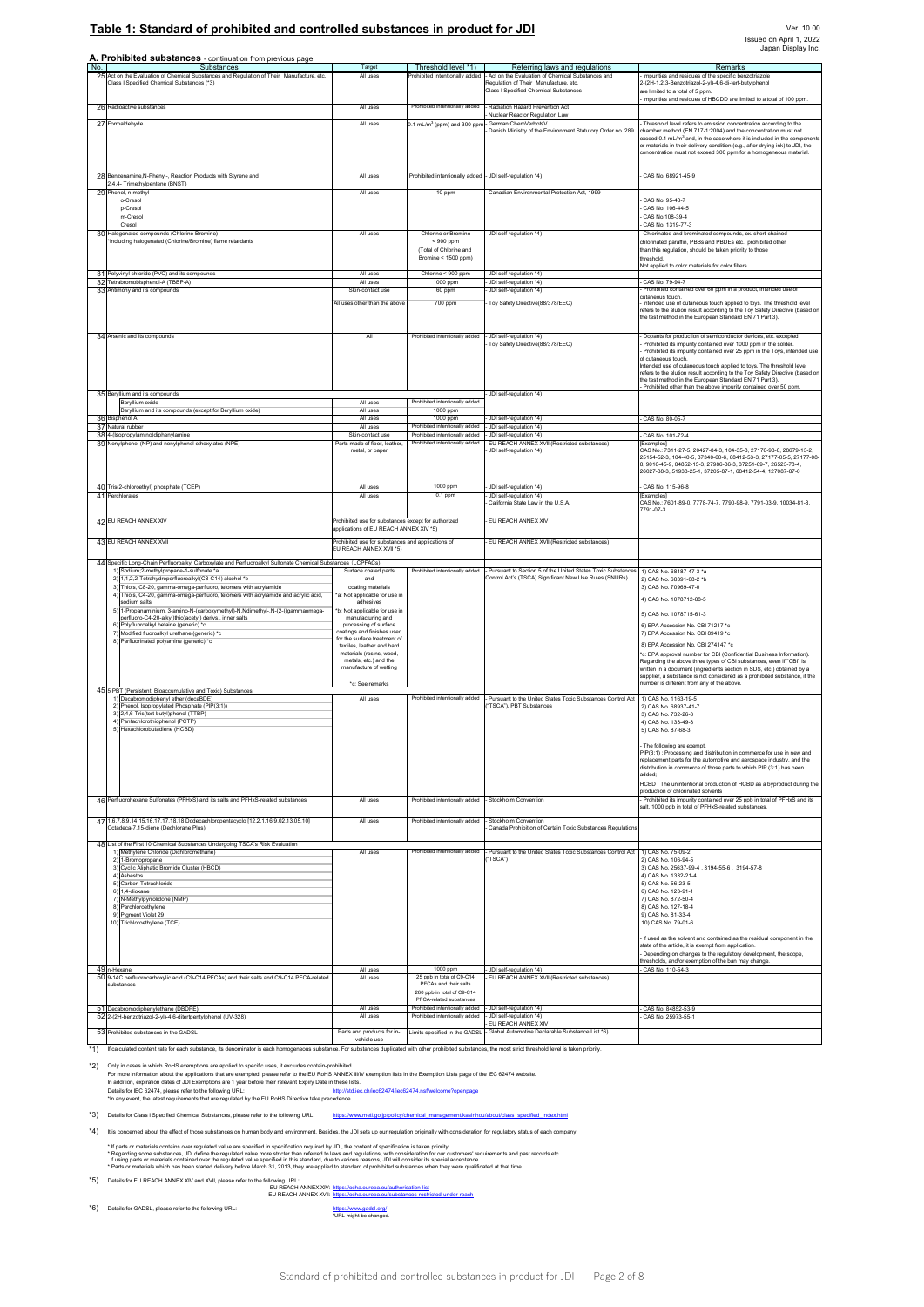### Table 1: Standard of prohibited and controlled substances in product for JDI

|     | A. Prohibited substances - continuation from previous page                                                                                                                                                   |                                                                                               |                                                                                     |                                                                                                                                                                      |                                                                                                                                                                                                                                                                                                                                                                                                                                                      |
|-----|--------------------------------------------------------------------------------------------------------------------------------------------------------------------------------------------------------------|-----------------------------------------------------------------------------------------------|-------------------------------------------------------------------------------------|----------------------------------------------------------------------------------------------------------------------------------------------------------------------|------------------------------------------------------------------------------------------------------------------------------------------------------------------------------------------------------------------------------------------------------------------------------------------------------------------------------------------------------------------------------------------------------------------------------------------------------|
| No. | Substances<br>25 Act on the Evaluation of Chemical Substances and Regulation of Their Manufacture, etc<br>Class   Specified Chemical Substances (*3)                                                         | Target<br>All uses                                                                            | Threshold level *1)<br>Prohibited intentionally added                               | Referring laws and regulations<br>Act on the Evaluation of Chemical Substances and<br>Regulation of Their Manufacture, etc.<br>Class I Specified Chemical Substances | Remarks<br>Impurities and residues of the specific benzotriazole<br>2-(2H-1,2,3-Benzotriazol-2-yl)-4,6-di-tert-butylphenol<br>are limited to a total of 5 ppm.<br>Impurities and residues of HBCDD are limited to a total of 100 ppm                                                                                                                                                                                                                 |
|     | 26 Radioactive substances<br>27 Formaldehyde                                                                                                                                                                 | All uses<br>All uses                                                                          | Prohibited intentionally added<br>$0.1$ mL/m <sup>3</sup> (ppm) and 300 pp          | Radiation Hazard Prevention Act<br>Nuclear Reactor Regulation Law<br>German ChemVerbotsV<br>Danish Ministry of the Environment Statutory Order no. 289               | Threshold level refers to emission concentration according to the<br>chamber method (EN 717-1:2004) and the concentration must not<br>xceed 0.1 mL/m $^3$ and, in the case where it is included in the components                                                                                                                                                                                                                                    |
|     | 28 Benzenamine, N-Phenyl-, Reaction Products with Styrene and                                                                                                                                                | All uses                                                                                      | Prohibited intentionally added                                                      | - JDI self-regulation *4)                                                                                                                                            | or materials in their delivery condition (e.g., after drying ink) to JDI, the<br>oncentration must not exceed 300 ppm for a homogeneous material.<br>CAS No. 68921-45-9                                                                                                                                                                                                                                                                              |
|     | 2,4,4- Trimethylpentene (BNST)<br>29 Phenol, n-methyl-                                                                                                                                                       | All uses                                                                                      | 10 ppm                                                                              | Canadian Environmental Protection Act. 1999                                                                                                                          |                                                                                                                                                                                                                                                                                                                                                                                                                                                      |
|     | o-Cresol<br>p-Cresol<br>m-Cresol<br>Cresol                                                                                                                                                                   |                                                                                               |                                                                                     |                                                                                                                                                                      | CAS No. 95-48-7<br>CAS No. 106-44-5<br>CAS No.108-39-4<br>CAS No. 1319-77-3                                                                                                                                                                                                                                                                                                                                                                          |
|     | 30 Halogenated compounds (Chlorine-Bromine)<br>'Including halogenated (Chlorine/Bromine) flame retardants                                                                                                    | All uses                                                                                      | Chlorine or Bromine<br>$< 900$ ppm<br>(Total of Chlorine and<br>Bromine < 1500 ppm) | JDI self-regulation *4)                                                                                                                                              | Chlorinated and brominated compounds, ex. short-chained<br>chlorinated paraffin, PBBs and PBDEs etc., prohibited other<br>than this regulation, should be taken priority to those<br>threshold<br>Not applied to color materials for color filters                                                                                                                                                                                                   |
|     | 31 Polyvinyl chloride (PVC) and its compounds<br>32 Tetrabromobisphenol-A (TBBP-A)                                                                                                                           | All uses<br>All uses                                                                          | Chlorine < 900 ppm<br>1000 ppm                                                      | JDI self-regulation *41<br>JDI self-regulation *4)                                                                                                                   | CAS No. 79-94-7                                                                                                                                                                                                                                                                                                                                                                                                                                      |
|     | 33 Antimony and its compounds                                                                                                                                                                                | Skin-contact use<br>All uses other than the above                                             | 60 ppm<br>700 ppm                                                                   | JDI self-requlation *41<br>Toy Safety Directive(88/378/EEC)                                                                                                          | Prohibited contained over 60 ppm in a product, intended use of<br>cutaneous touch.<br>Intended use of cutaneous touch applied to toys. The threshold level<br>refers to the elution result according to the Toy Safety Directive (based on<br>the test method in the European Standard EN 71 Part 3).                                                                                                                                                |
|     | 34 Arsenic and its compounds                                                                                                                                                                                 | All                                                                                           | Prohibited intentionally added                                                      | JDI self-requlation *4)<br>Toy Safety Directive(88/378/EEC)                                                                                                          | Dopants for production of semiconductor devices, etc. excepted.<br>Prohibited its impurity contained over 1000 ppm in the solder<br>Prohibited its impurity contained over 25 ppm in the Toys, intended use<br>of cutaneous touch.<br>ntended use of cutaneous touch applied to toys. The threshold level<br>refers to the elution result according to the Toy Safety Directive (based on<br>the test method in the European Standard EN 71 Part 3). |
|     | 35 Beryllium and its compounds                                                                                                                                                                               |                                                                                               |                                                                                     | JDI self-regulation *4)                                                                                                                                              | Prohibited other than the above impurity contained over 50 ppm                                                                                                                                                                                                                                                                                                                                                                                       |
|     | Bervillum oxide<br>Beryllium and its compounds (except for Beryllium oxide)                                                                                                                                  | All uses<br>All uses                                                                          | Prohibited intentionally added<br>1000 ppm                                          |                                                                                                                                                                      |                                                                                                                                                                                                                                                                                                                                                                                                                                                      |
|     | 36 Bisphenol A<br>37 Natural rubber                                                                                                                                                                          | All uses<br>All uses                                                                          | 1000 ppm<br>Prohibited intentionally added                                          | JDI self-regulation *4)<br>JDI self-regulation *4)                                                                                                                   | CAS No. 80-05-7                                                                                                                                                                                                                                                                                                                                                                                                                                      |
|     | 38 4-(Isopropylamino)diphenylamine                                                                                                                                                                           | Skin-contact use                                                                              | Prohibited intentionally added                                                      | JDI self-requlation *4)                                                                                                                                              | CAS No. 101-72-4                                                                                                                                                                                                                                                                                                                                                                                                                                     |
|     | 39 Nonylphenol (NP) and nonylphenol ethoxylates (NPE)                                                                                                                                                        | Parts made of fiber, leather<br>metal, or paper                                               | Prohibited intentionally added                                                      | EU REACH ANNEX XVII (Restricted substances)<br>JDI self-regulation *4)                                                                                               | Examples]<br>CAS No.: 7311-27-5, 20427-84-3, 104-35-8, 27176-93-8, 28679-13-2.<br>25154-52-3, 104-40-5, 37340-60-6, 68412-53-3, 27177-05-5, 27177-08-<br>8, 9016-45-9, 84852-15-3, 27986-36-3, 37251-69-7, 26523-78-4,<br>26027-38-3, 51938-25-1, 37205-87-1, 68412-54-4, 127087-87-0                                                                                                                                                                |
|     | 40 Tris(2-chloroethyl) phosphate (TCEP)<br>41 Perchlorates                                                                                                                                                   | All uses<br>All uses                                                                          | 1000 ppm<br>$0.1$ ppm                                                               | JDI self-regulation *4)<br>JDI self-regulation *4)                                                                                                                   | CAS No. 115-96-8<br>Examples                                                                                                                                                                                                                                                                                                                                                                                                                         |
|     |                                                                                                                                                                                                              |                                                                                               |                                                                                     | California State Law in the U.S.A                                                                                                                                    | CAS No.: 7601-89-0, 7778-74-7, 7790-98-9, 7791-03-9, 10034-81-8,<br>7791-07-3                                                                                                                                                                                                                                                                                                                                                                        |
|     | 42 EU REACH ANNEX XIV                                                                                                                                                                                        | Prohibited use for substances except for authorized<br>applications of EU REACH ANNEX XIV *5) |                                                                                     | EU REACH ANNEX XIV                                                                                                                                                   |                                                                                                                                                                                                                                                                                                                                                                                                                                                      |
|     | 43 EU REACH ANNEX XVII                                                                                                                                                                                       | Prohibited use for substances and applications of                                             |                                                                                     | EU REACH ANNEX XVII (Restricted substances)                                                                                                                          |                                                                                                                                                                                                                                                                                                                                                                                                                                                      |
|     |                                                                                                                                                                                                              | EU REACH ANNEX XVII *5)                                                                       |                                                                                     |                                                                                                                                                                      |                                                                                                                                                                                                                                                                                                                                                                                                                                                      |
|     | 44 Specific Long-Chain Perfluoroalkyl Carboxylate and Perfluoroalkyl Sulfonate Chemical Substances (LCPFACs)<br>1) Sodium;2-methylpropane-1-sulfonate *a                                                     | Surface coated parts                                                                          | Prohibited intentionally added                                                      | Pursuant to Section 5 of the United States Toxic Substances                                                                                                          | 1) CAS No. 68187-47-3 *a                                                                                                                                                                                                                                                                                                                                                                                                                             |
|     | 2) 1,1,2,2-Tetrahydroperfluoroalkyl(C8-C14) alcohol *b                                                                                                                                                       | and                                                                                           |                                                                                     | Control Act's (TSCA) Significant New Use Rules (SNURs)                                                                                                               | 2) CAS No. 68391-08-2 *b                                                                                                                                                                                                                                                                                                                                                                                                                             |
|     | 3) Thiols, C8-20, gamma-omega-perfluoro, telomers with acrylamide<br>4) Thiols, C4-20, gamma-omega-perfluoro, telomers with acrylamide and acrylic acid,                                                     | coating materials<br>*a: Not applicable for use in                                            |                                                                                     |                                                                                                                                                                      | 3) CAS No. 70969-47-0<br>4) CAS No. 1078712-88-5                                                                                                                                                                                                                                                                                                                                                                                                     |
|     | sodium salts<br>5) 1-Propanaminium, 3-amino-N-(carboxymethyl)-N,Ndimethyl-,N-(2-((gammaomega-                                                                                                                | adhesives<br>*b: Not applicable for use in                                                    |                                                                                     |                                                                                                                                                                      |                                                                                                                                                                                                                                                                                                                                                                                                                                                      |
|     | perfluoro-C4-20-alkyl)thio)acetyl) derivs., inner salts<br>6<br>Polyfluoroalkyl betaine (generic) *c                                                                                                         | manufacturing and<br>processing of surface                                                    |                                                                                     |                                                                                                                                                                      | 5) CAS No. 1078715-61-3<br>6) EPA Accession No. CBI 71217 *c                                                                                                                                                                                                                                                                                                                                                                                         |
|     | Modified fluoroalkyl urethane (generic) *c<br>7 <sup>1</sup>                                                                                                                                                 | coatings and finishes used<br>for the surface treatment of                                    |                                                                                     |                                                                                                                                                                      | 7) EPA Accession No. CBI 89419 *c                                                                                                                                                                                                                                                                                                                                                                                                                    |
|     | 8) Perfluorinated polyamine (generic) *c                                                                                                                                                                     | textiles, leather and hard<br>materials (resins, wood,                                        |                                                                                     |                                                                                                                                                                      | 8) EPA Accession No. CBI 274147 *c                                                                                                                                                                                                                                                                                                                                                                                                                   |
|     |                                                                                                                                                                                                              | metals, etc.) and the<br>manufacture of wetting                                               |                                                                                     |                                                                                                                                                                      | *c: EPA approval number for CBI (Confidential Business Information).<br>Regarding the above three types of CBI substances, even if "CBI" is                                                                                                                                                                                                                                                                                                          |
|     |                                                                                                                                                                                                              |                                                                                               |                                                                                     |                                                                                                                                                                      | written in a document (ingredients section in SDS, etc.) obtained by a<br>supplier, a substance is not considered as a prohibited substance, if the<br>number is different from any of the above.                                                                                                                                                                                                                                                    |
|     | 45 5 PBT (Persistent, Bioaccumulative and Toxic) Substances                                                                                                                                                  | *c: See remarks                                                                               | Prohibited intentionally added                                                      |                                                                                                                                                                      |                                                                                                                                                                                                                                                                                                                                                                                                                                                      |
|     | 1) Decabromodiphenyl ether (decaBDE)<br>2) Phenol, Isopropylated Phosphate (PIP(3:1))                                                                                                                        | All uses                                                                                      |                                                                                     | Pursuant to the United States Toxic Substances Control Act<br>"TSCA"), PBT Substances                                                                                | 1) CAS No. 1163-19-5<br>2) CAS No. 68937-41-7                                                                                                                                                                                                                                                                                                                                                                                                        |
|     | 3) 2,4,6-Tris(tert-butyl)phenol (TTBP)<br>Pentachlorothiophenol (PCTP)<br>4)<br>5) Hexachlorobutadiene (HCBD)                                                                                                |                                                                                               |                                                                                     |                                                                                                                                                                      | 3) CAS No. 732-26-3<br>41 CAS No. 133-49-3<br>5) CAS No. 87-68-3                                                                                                                                                                                                                                                                                                                                                                                     |
|     |                                                                                                                                                                                                              |                                                                                               |                                                                                     |                                                                                                                                                                      | The following are exempt.<br>PIP(3:1) : Processing and distribution in commerce for use in new and<br>replacement parts for the automotive and aerospace industry, and the<br>distribution in commerce of those parts to which PIP (3:1) has been<br>added:                                                                                                                                                                                          |
|     |                                                                                                                                                                                                              |                                                                                               |                                                                                     |                                                                                                                                                                      | HCBD : The unintentional production of HCBD as a byproduct during the<br>production of chlorinated solvents                                                                                                                                                                                                                                                                                                                                          |
|     | 46 Perfluorohexane Sulfonates (PFHxS) and its salts and PFHxS-related substances                                                                                                                             | All uses                                                                                      | Prohibited intentionally added                                                      | Stockholm Convention                                                                                                                                                 | - Prohibited its impurity contained over 25 ppb in total of PFHxS and its<br>salt, 1000 ppb in total of PFHxS-related substances.                                                                                                                                                                                                                                                                                                                    |
|     | 47 1,6,7,8,9,14,15,16,17,17,18,18 Dodecachloropentacyclo [12.2.1.16,9.02,13.05,10]<br>Octadeca-7.15-diene (Dechlorane Plus)<br>48 List of the First 10 Chemical Substances Undergoing TSCA's Risk Evaluation | All uses                                                                                      | Prohibited intentionally added                                                      | Stockholm Convention<br>Canada Prohibition of Certain Toxic Substances Regulations                                                                                   |                                                                                                                                                                                                                                                                                                                                                                                                                                                      |
|     | 1) Methylene Chloride (Dichloromethane)<br>2) 1-Bromopropane                                                                                                                                                 | All uses                                                                                      | Prohibited intentionally added                                                      | Pursuant to the United States Toxic Substances Control Act<br>"TSCA")                                                                                                | 1) CAS No. 75-09-2<br>2) CAS No. 106-94-5                                                                                                                                                                                                                                                                                                                                                                                                            |
|     | 3) Cyclic Aliphatic Bromide Cluster (HBCD)                                                                                                                                                                   |                                                                                               |                                                                                     |                                                                                                                                                                      | 3) CAS No. 25637-99-4, 3194-55-6, 3194-57-8                                                                                                                                                                                                                                                                                                                                                                                                          |
|     | Asbestos<br>$\frac{4}{3}$<br>5) Carbon Tetrachloride                                                                                                                                                         |                                                                                               |                                                                                     |                                                                                                                                                                      | 4) CAS No. 1332-21-4<br>5) CAS No. 56-23-5                                                                                                                                                                                                                                                                                                                                                                                                           |
|     | 6) 1.4-dioxane<br>N-Methylpyrrolidone (NMP)<br>$\overline{7}$                                                                                                                                                |                                                                                               |                                                                                     |                                                                                                                                                                      | 6) CAS No. 123-91-1<br>7) CAS No. 872-50-4                                                                                                                                                                                                                                                                                                                                                                                                           |
|     | 8) Perchloroethylene                                                                                                                                                                                         |                                                                                               |                                                                                     |                                                                                                                                                                      | 8) CAS No. 127-18-4                                                                                                                                                                                                                                                                                                                                                                                                                                  |
|     | 9) Pigment Violet 29<br>10) Trichloroethylene (TCE)                                                                                                                                                          |                                                                                               |                                                                                     |                                                                                                                                                                      | 9) CAS No. 81-33-4<br>10) CAS No. 79-01-6                                                                                                                                                                                                                                                                                                                                                                                                            |
|     |                                                                                                                                                                                                              |                                                                                               |                                                                                     |                                                                                                                                                                      | If used as the solvent and contained as the residual component in the                                                                                                                                                                                                                                                                                                                                                                                |
|     |                                                                                                                                                                                                              |                                                                                               |                                                                                     |                                                                                                                                                                      | tate of the article, it is exempt from application<br>Depending on changes to the regulatory development, the scope,                                                                                                                                                                                                                                                                                                                                 |
|     |                                                                                                                                                                                                              |                                                                                               |                                                                                     |                                                                                                                                                                      | hresholds, and/or exemption of the ban may change.                                                                                                                                                                                                                                                                                                                                                                                                   |
|     | 49 n-Hexane<br>50 9-14C perfluorocarboxylic acid (C9-C14 PFCAs) and their salts and C9-C14 PFCA-related                                                                                                      | All uses<br>All uses                                                                          | 1000 ppm<br>25 ppb in total of C9-C14                                               | JDI self-requiation *4)<br>EU REACH ANNEX XVII (Restricted substances)                                                                                               | CAS No. 110-54-3                                                                                                                                                                                                                                                                                                                                                                                                                                     |
|     | substances                                                                                                                                                                                                   |                                                                                               | PFCAs and their salts<br>260 ppb in total of C9-C14<br>PFCA-related substances      |                                                                                                                                                                      |                                                                                                                                                                                                                                                                                                                                                                                                                                                      |
|     | 51 Decabromodiphenylethane (DBDPE)<br>52 2-(2H-benzotriazol-2-yl)-4,6-ditertpentylphenol (UV-328)                                                                                                            | All uses<br>All uses                                                                          | Prohibited intentionally added<br>Prohibited intentionally added                    | - JDI self-regulation *4)<br>JDI self-regulation *4)                                                                                                                 | CAS No. 84852-53-9<br>CAS No. 25973-55-1                                                                                                                                                                                                                                                                                                                                                                                                             |
|     | 53 Prohibited substances in the GADSL                                                                                                                                                                        | Parts and products for in-                                                                    | Limits specified in the GADSL                                                       | EU REACH ANNEX XIV<br>Global Automotive Declarable Substance List *6)                                                                                                |                                                                                                                                                                                                                                                                                                                                                                                                                                                      |
|     |                                                                                                                                                                                                              | vehicle use                                                                                   |                                                                                     |                                                                                                                                                                      |                                                                                                                                                                                                                                                                                                                                                                                                                                                      |

\*1) If calculated content rate for each substance, its denominator is each homogeneous substance. For substances duplicated with other prohibited substances, the most strict threshold level is taken priority. vehicle use

<sup>2</sup>2) Only in cases in which RoHS exemptions are applied to specific uses, it excludes contain-prohibited.<br>For more information about the applications that are exempted, please refer to the EU RoHS ANNEX WIV exemption list

\*3) Details for Class I Specified Chemical Substances, please refer to the following URL: https:

\*4) It is concerned about the effect of those substances on human body and environment. Besides, the JDI sets up our regulation originally with consideration for regulatory status of each company. \* If pats or materias contains over regulated value energet and the material particulations are entered in the<br>Trusing parts or materials contained to the regulated value more trians for enterget and required more in the m

5) Details for EU REACH ANNEX XIV and XVII, please refer to the following URL:<br>EU REACH ANNEX XVII: <u>https://echa.europa.eu/authorisation-list</u><br>EU REACH ANNEX XVII: https://echa.europa.eu/substances-restricted-under-reach

\*6) Details for GADSL, please refer to the following URL: https://www.gadsl.org/<br>"URL might be changed."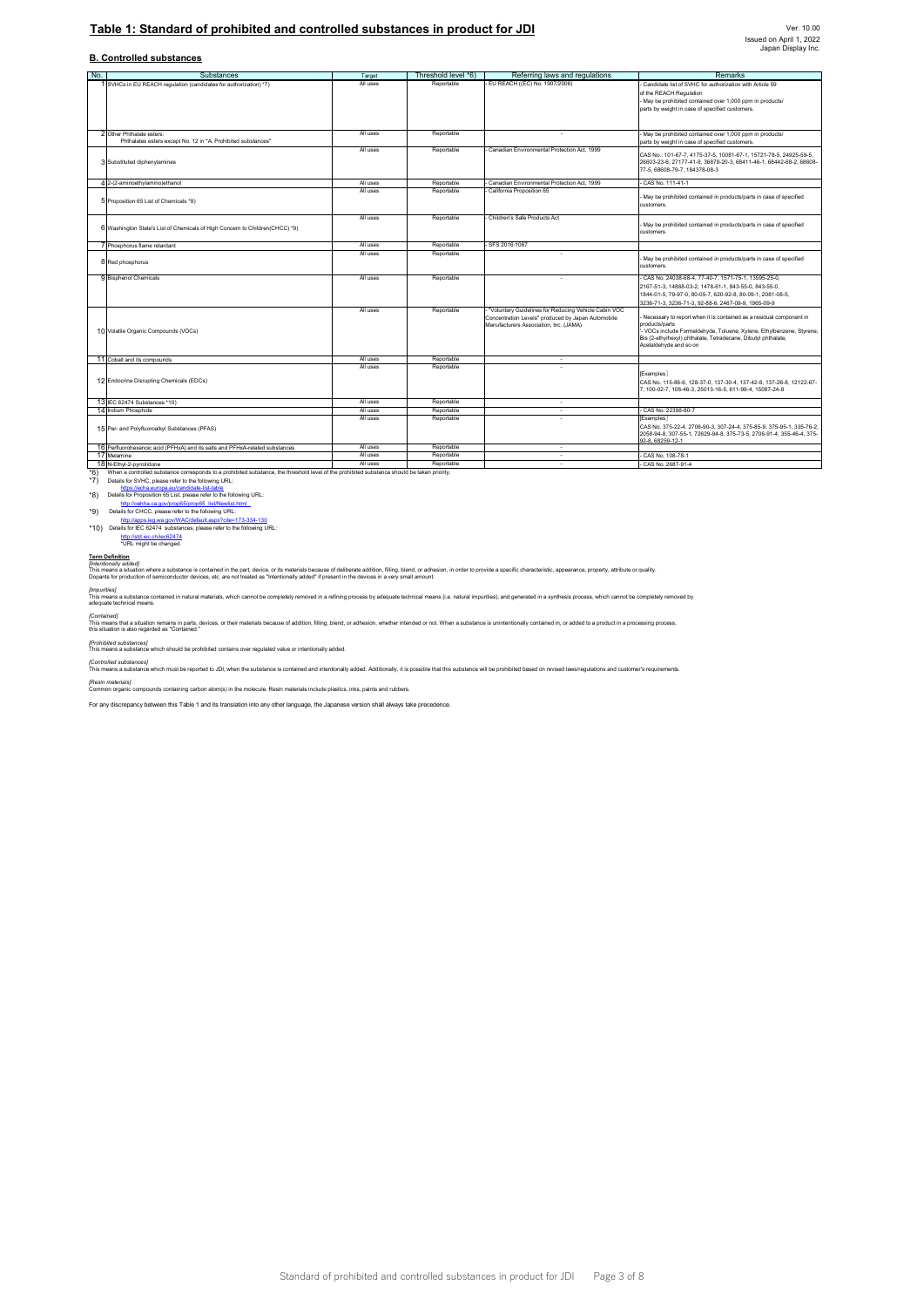### Table 1: Standard of prohibited and controlled substances in product for JDI

### **B. Controlled substances**

| No. | Substances                                                                                                                                   | Target               | Threshold level *6)      | Referring laws and regulations                                           | Remarks                                                                                                                                 |
|-----|----------------------------------------------------------------------------------------------------------------------------------------------|----------------------|--------------------------|--------------------------------------------------------------------------|-----------------------------------------------------------------------------------------------------------------------------------------|
|     | 1 SVHCs in EU REACH regulation (candidates for authorization) *7)                                                                            | All uses             | Reportable               | - EU REACH ((EC) No. 1907/2006)                                          | Candidate list of SVHC for authorization with Article 59                                                                                |
|     |                                                                                                                                              |                      |                          |                                                                          | of the REACH Regulation                                                                                                                 |
|     |                                                                                                                                              |                      |                          |                                                                          | May be prohibited contained over 1,000 ppm in products/                                                                                 |
|     |                                                                                                                                              |                      |                          |                                                                          | parts by weight in case of specified customers.                                                                                         |
|     |                                                                                                                                              |                      |                          |                                                                          |                                                                                                                                         |
|     |                                                                                                                                              |                      |                          |                                                                          |                                                                                                                                         |
|     | 2 Other Phthalate esters:                                                                                                                    | All uses             | Reportable               | ٠                                                                        | May be prohibited contained over 1,000 ppm in products/                                                                                 |
|     | Phthalates esters except No. 12 in "A. Prohibited substances"                                                                                |                      |                          |                                                                          | parts by weight in case of specified customers.                                                                                         |
|     |                                                                                                                                              | All uses             | Reportable               | Canadian Environmental Protection Act. 1999                              |                                                                                                                                         |
|     | 3 Substituted diphenylamines                                                                                                                 |                      |                          |                                                                          | CAS No.: 101-67-7, 4175-37-5, 10081-67-1, 15721-78-5, 24925-59-5,<br>26603-23-6, 27177-41-9, 36878-20-3, 68411-46-1, 68442-68-2, 68608- |
|     |                                                                                                                                              |                      |                          |                                                                          | 77-5. 68608-79-7. 184378-08-3                                                                                                           |
|     |                                                                                                                                              |                      |                          |                                                                          |                                                                                                                                         |
|     | 4 2-(2-aminoethylamino)ethanol                                                                                                               | All uses<br>All uses | Reportable<br>Reportable | Canadian Environmental Protection Act. 1999<br>California Proposition 65 | CAS No. 111-41-1                                                                                                                        |
|     |                                                                                                                                              |                      |                          |                                                                          | May be prohibited contained in products/parts in case of specified                                                                      |
|     | 5 Proposition 65 List of Chemicals *8)                                                                                                       |                      |                          |                                                                          | customers.                                                                                                                              |
|     |                                                                                                                                              |                      |                          |                                                                          |                                                                                                                                         |
|     |                                                                                                                                              | All uses             | Reportable               | Children's Safe Products Act                                             | May be prohibited contained in products/parts in case of specified                                                                      |
|     | 6 Washington State's List of Chemicals of High Concern to Children(CHCC) *9)                                                                 |                      |                          |                                                                          | customers.                                                                                                                              |
|     |                                                                                                                                              |                      |                          |                                                                          |                                                                                                                                         |
|     | 7 Phosphorus flame retardant                                                                                                                 | All uses<br>All uses | Reportable               | SFS 2016:1067                                                            |                                                                                                                                         |
|     |                                                                                                                                              |                      | Reportable               |                                                                          | May be prohibited contained in products/parts in case of specified                                                                      |
|     | 8 Red phosphorus                                                                                                                             |                      |                          |                                                                          | customers.                                                                                                                              |
|     | 9 Bisphenol Chemicals                                                                                                                        | All uses             | Reportable               | ÷                                                                        | CAS No. 24038-68-4, 77-40-7, 1571-75-1, 13595-25-0,                                                                                     |
|     |                                                                                                                                              |                      |                          |                                                                          | 2167-51-3, 14868-03-2, 1478-61-1, 843-55-0, 843-55-0,                                                                                   |
|     |                                                                                                                                              |                      |                          |                                                                          | 1844-01-5, 79-97-0, 80-05-7, 620-92-8, 80-09-1, 2081-08-5,                                                                              |
|     |                                                                                                                                              |                      |                          |                                                                          | 3236-71-3, 3236-71-3, 92-88-6, 2467-09-9, 1965-09-9                                                                                     |
|     |                                                                                                                                              | All uses             | Reportable               | "Voluntary Guidelines for Reducing Vehicle Cabin VOC                     |                                                                                                                                         |
|     |                                                                                                                                              |                      |                          | Concentration Levels" produced by Japan Automobile                       | Necessary to report when it is contained as a residual component in<br>products/parts                                                   |
|     | 10 Volatile Organic Compounds (VOCs)                                                                                                         |                      |                          | Manufacturers Association, Inc. (JAMA)                                   | - VOCs include Formaldehyde, Toluene, Xylene, Ethylbenzene, Styrene,                                                                    |
|     |                                                                                                                                              |                      |                          |                                                                          | Bis (2-ethylhexyl) phthalate, Tetradecane, Dibutyl phthalate,                                                                           |
|     |                                                                                                                                              |                      |                          |                                                                          | Acetaldehyde and so on                                                                                                                  |
|     | 11 Cobalt and its compounds                                                                                                                  | All uses             | Reportable               | ٠                                                                        |                                                                                                                                         |
|     |                                                                                                                                              | All uses             | Reportable               |                                                                          |                                                                                                                                         |
|     |                                                                                                                                              |                      |                          |                                                                          | <b>Examples</b>                                                                                                                         |
|     | 12 Endocrine Disrupting Chemicals (EDCs)                                                                                                     |                      |                          |                                                                          | CAS No. 115-86-6, 128-37-0, 137-30-4, 137-42-8, 137-26-8, 12122-67-                                                                     |
|     |                                                                                                                                              |                      |                          |                                                                          | 7, 100-02-7, 108-46-3, 25013-16-5, 611-99-4, 15087-24-8                                                                                 |
|     | 13 IEC 62474 Substances *10)                                                                                                                 | All uses             | Reportable               | ÷.                                                                       |                                                                                                                                         |
|     | 14 Indium Phosphide                                                                                                                          | All uses             | Reportable               | ÷,                                                                       | CAS No. 22398-80-7                                                                                                                      |
|     |                                                                                                                                              | All uses             | Reportable               |                                                                          | <b>Examples</b>                                                                                                                         |
|     | 15 Per- and Polyfluoroalkyl Substances (PFAS)                                                                                                |                      |                          |                                                                          | CAS No. 375-22-4. 2706-90-3. 307-24-4. 375-85-9. 375-95-1. 335-76-2.                                                                    |
|     |                                                                                                                                              |                      |                          |                                                                          | 2058-94-8, 307-55-1, 72629-94-8, 375-73-5, 2706-91-4, 355-46-4, 375-                                                                    |
|     | 16 Perfluorohexanoic acid (PFHxA) and its salts and PFHxA-related substances                                                                 | All uses             | Reportable               | ÷                                                                        | 92-8. 68259-12-1                                                                                                                        |
|     | 17 Melamine                                                                                                                                  | All uses             | Reportable               | $\sim$                                                                   | CAS No. 108-78-1                                                                                                                        |
|     | 18 N-Ethyl-2-pyrrolidone                                                                                                                     | All uses             | Reportable               | ×,                                                                       | CAS No. 2687-91-4                                                                                                                       |
| *6) | When a controlled substance corresponds to a prohibited substance, the threshold level of the prohibited substance should be taken priority. |                      |                          |                                                                          |                                                                                                                                         |
| *7) | Details for SVHC, please refer to the following URL:                                                                                         |                      |                          |                                                                          |                                                                                                                                         |
|     | https://echa.europa.eu/candidate-list-table                                                                                                  |                      |                          |                                                                          |                                                                                                                                         |
| *8) | Details for Proposition 65 List, please refer to the following URL:                                                                          |                      |                          |                                                                          |                                                                                                                                         |
|     | http://oehha.ca.gov/prop65/prop65_list/Newlist.html                                                                                          |                      |                          |                                                                          |                                                                                                                                         |
| *9) | Details for CHCC, please refer to the following URL:<br>http://apps.leg.wa.gov/WAC/default.aspx?cite=173-334-130                             |                      |                          |                                                                          |                                                                                                                                         |
|     | *10) Details for IEC 62474 substances, please refer to the following URL:                                                                    |                      |                          |                                                                          |                                                                                                                                         |
|     | http://std.iec.ch/iec62474                                                                                                                   |                      |                          |                                                                          |                                                                                                                                         |
|     | *URL might be changed.                                                                                                                       |                      |                          |                                                                          |                                                                                                                                         |

T<u>erm Definition</u><br>[mtenforally added]<br>Dopanis roughtion where a substance is contained in the part, device, or its materials because of delberate addition, filling, blend, or adhesion, in order to provide a specific charac

*[Impurities]*<br>This means a subslance contained in natural materials, which cannot be completely removed in a refining process by adequate technical means (i.e. natural impurities), and generated in a synthesis process, wh

(Contained)<br>This means that a situation remains in parts, devices, or their materials because of addition, filling, blend, or adhesion, whether intended or not. When a substance is unintentionally contained in, or added to

*[Prohibited substances]* This means a substance which should be prohibited contains over regulated value or intentionally added.

(Controlled substances)<br>This means a substance which must be reported to JDI, when the substance is contained and intentionally added. Additionally, it is possible that this substance will be prohibited based on revised la

*[Resin materials]* Common organic compounds containing carbon atom(s) in the molecule. Resin materials include plastics, inks, paints and rubbers.

For any discrepancy between this Table 1 and its translation into any other language, the Japanese version shall always take precedence.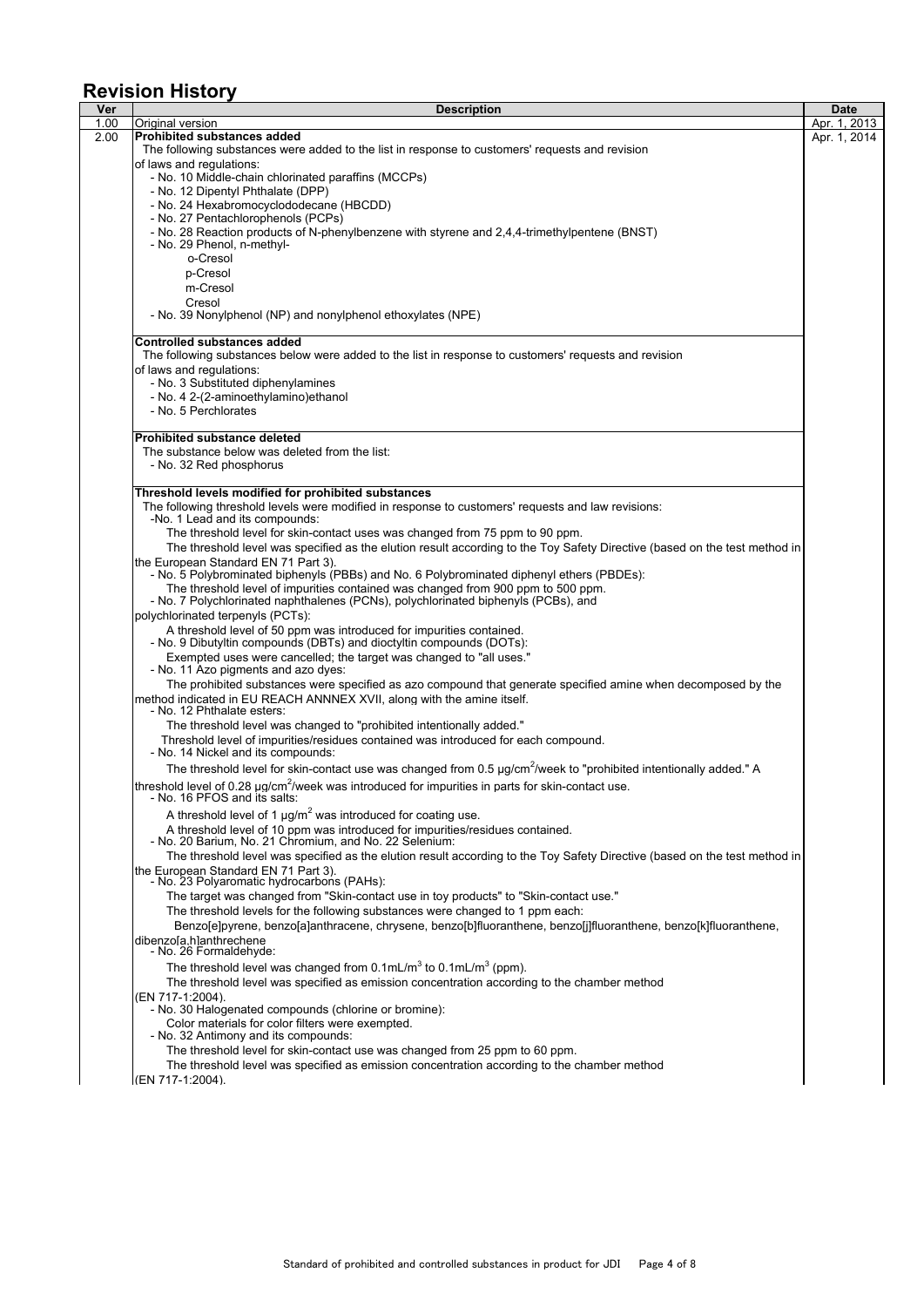# **Revision History**

| <b>Description</b>                                                                                                                                                                                                    | <b>Date</b>  |
|-----------------------------------------------------------------------------------------------------------------------------------------------------------------------------------------------------------------------|--------------|
| Original version<br><b>Prohibited substances added</b>                                                                                                                                                                | Apr. 1, 2013 |
| The following substances were added to the list in response to customers' requests and revision                                                                                                                       | Apr. 1, 2014 |
| of laws and regulations:                                                                                                                                                                                              |              |
| - No. 10 Middle-chain chlorinated paraffins (MCCPs)                                                                                                                                                                   |              |
| - No. 12 Dipentyl Phthalate (DPP)                                                                                                                                                                                     |              |
| - No. 24 Hexabromocyclododecane (HBCDD)                                                                                                                                                                               |              |
| - No. 27 Pentachlorophenols (PCPs)<br>- No. 28 Reaction products of N-phenylbenzene with styrene and 2,4,4-trimethylpentene (BNST)                                                                                    |              |
| - No. 29 Phenol, n-methyl-                                                                                                                                                                                            |              |
| o-Cresol                                                                                                                                                                                                              |              |
| p-Cresol                                                                                                                                                                                                              |              |
| m-Cresol                                                                                                                                                                                                              |              |
| Cresol<br>- No. 39 Nonylphenol (NP) and nonylphenol ethoxylates (NPE)                                                                                                                                                 |              |
| <b>Controlled substances added</b>                                                                                                                                                                                    |              |
| The following substances below were added to the list in response to customers' requests and revision                                                                                                                 |              |
| of laws and regulations:                                                                                                                                                                                              |              |
| - No. 3 Substituted diphenylamines                                                                                                                                                                                    |              |
| - No. 4 2-(2-aminoethylamino)ethanol                                                                                                                                                                                  |              |
| - No. 5 Perchlorates                                                                                                                                                                                                  |              |
| <b>Prohibited substance deleted</b>                                                                                                                                                                                   |              |
| The substance below was deleted from the list:                                                                                                                                                                        |              |
| - No. 32 Red phosphorus                                                                                                                                                                                               |              |
| Threshold levels modified for prohibited substances                                                                                                                                                                   |              |
| The following threshold levels were modified in response to customers' requests and law revisions:<br>-No. 1 Lead and its compounds:                                                                                  |              |
| The threshold level for skin-contact uses was changed from 75 ppm to 90 ppm.                                                                                                                                          |              |
| The threshold level was specified as the elution result according to the Toy Safety Directive (based on the test method in                                                                                            |              |
| the European Standard EN 71 Part 3).                                                                                                                                                                                  |              |
| - No. 5 Polybrominated biphenyls (PBBs) and No. 6 Polybrominated diphenyl ethers (PBDEs):                                                                                                                             |              |
| The threshold level of impurities contained was changed from 900 ppm to 500 ppm.                                                                                                                                      |              |
| - No. 7 Polychlorinated naphthalenes (PCNs), polychlorinated biphenyls (PCBs), and<br>polychlorinated terpenyls (PCTs):                                                                                               |              |
| A threshold level of 50 ppm was introduced for impurities contained.                                                                                                                                                  |              |
| - No. 9 Dibutyltin compounds (DBTs) and dioctyltin compounds (DOTs):                                                                                                                                                  |              |
| Exempted uses were cancelled; the target was changed to "all uses."                                                                                                                                                   |              |
| - No. 11 Azo pigments and azo dyes:                                                                                                                                                                                   |              |
| The prohibited substances were specified as azo compound that generate specified amine when decomposed by the<br>method indicated in EU REACH ANNNEX XVII, along with the amine itself.<br>- No. 12 Phthalate esters: |              |
| The threshold level was changed to "prohibited intentionally added."                                                                                                                                                  |              |
| Threshold level of impurities/residues contained was introduced for each compound.<br>- No. 14 Nickel and its compounds:                                                                                              |              |
| The threshold level for skin-contact use was changed from 0.5 µg/cm <sup>2</sup> /week to "prohibited intentionally added." A                                                                                         |              |
| threshold level of 0.28 $\mu q/cm^2$ /week was introduced for impurities in parts for skin-contact use.                                                                                                               |              |
| - No. 16 PFOS and its salts:                                                                                                                                                                                          |              |
| A threshold level of 1 $\mu$ g/m <sup>2</sup> was introduced for coating use.                                                                                                                                         |              |
| A threshold level of 10 ppm was introduced for impurities/residues contained.                                                                                                                                         |              |
| - No. 20 Barium, No. 21 Chromium, and No. 22 Selenium:                                                                                                                                                                |              |
| The threshold level was specified as the elution result according to the Toy Safety Directive (based on the test method in<br>the European Standard EN 71 Part 3).                                                    |              |
| - No. 23 Polyaromatic hydrocarbons (PAHs):                                                                                                                                                                            |              |
| The target was changed from "Skin-contact use in toy products" to "Skin-contact use."                                                                                                                                 |              |
| The threshold levels for the following substances were changed to 1 ppm each:                                                                                                                                         |              |
| Benzo[e]pyrene, benzo[a]anthracene, chrysene, benzo[b]fluoranthene, benzo[j]fluoranthene, benzo[k]fluoranthene,                                                                                                       |              |
| dibenzola.hlanthrechene<br>No. 26 Formaldehyde:                                                                                                                                                                       |              |
| The threshold level was changed from $0.1$ mL/m <sup>3</sup> to $0.1$ mL/m <sup>3</sup> (ppm).                                                                                                                        |              |
| The threshold level was specified as emission concentration according to the chamber method                                                                                                                           |              |
| (EN 717-1:2004).                                                                                                                                                                                                      |              |
| - No. 30 Halogenated compounds (chlorine or bromine):<br>Color materials for color filters were exempted.                                                                                                             |              |
| - No. 32 Antimony and its compounds:                                                                                                                                                                                  |              |
| The threshold level for skin-contact use was changed from 25 ppm to 60 ppm.                                                                                                                                           |              |
| The threshold level was specified as emission concentration according to the chamber method                                                                                                                           |              |
| (EN 717-1:2004).                                                                                                                                                                                                      |              |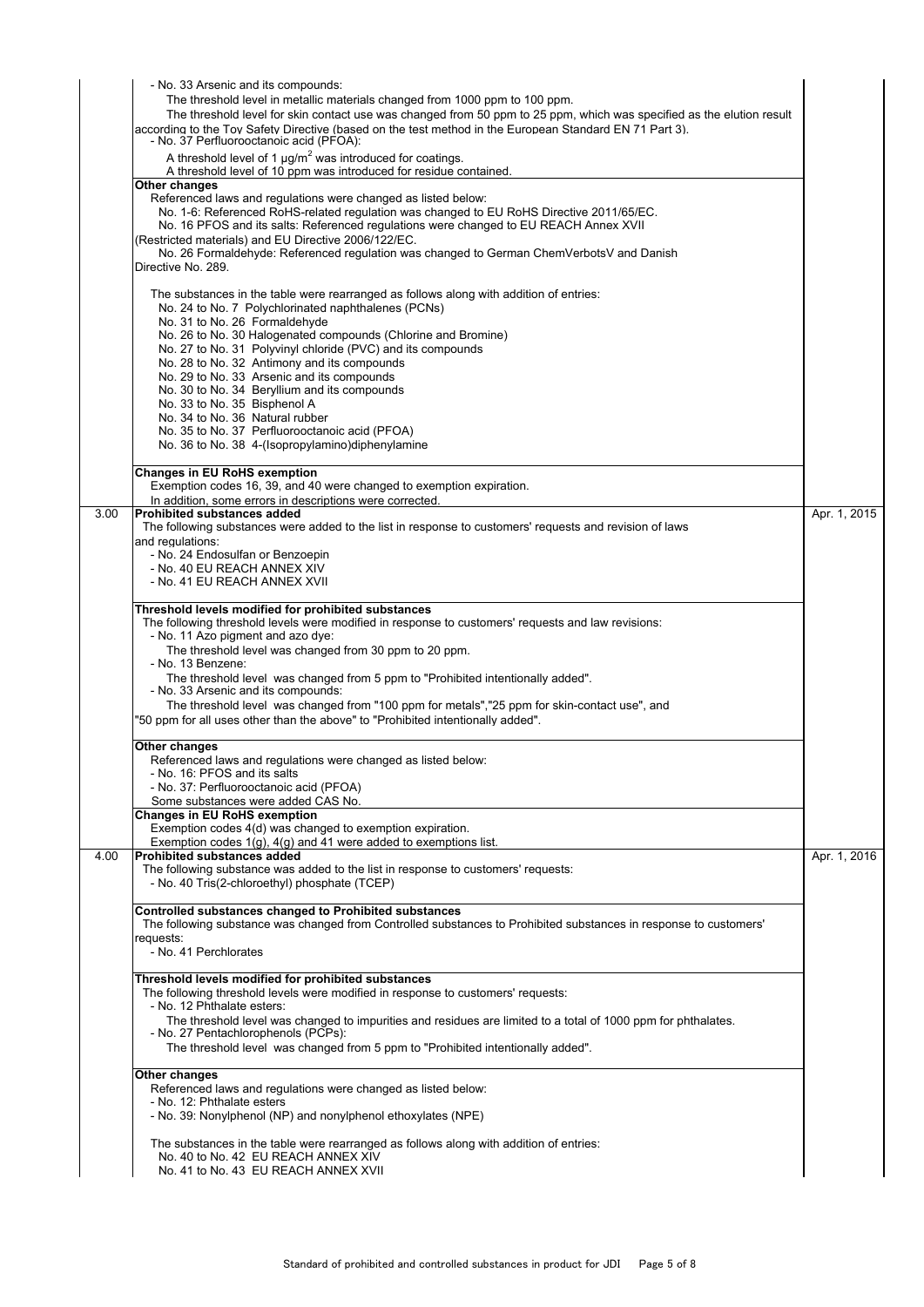|      | - No. 33 Arsenic and its compounds:                                                                                                                                         |              |
|------|-----------------------------------------------------------------------------------------------------------------------------------------------------------------------------|--------------|
|      | The threshold level in metallic materials changed from 1000 ppm to 100 ppm.                                                                                                 |              |
|      | The threshold level for skin contact use was changed from 50 ppm to 25 ppm, which was specified as the elution result                                                       |              |
|      | according to the Toy Safety Directive (based on the test method in the European Standard EN 71 Part 3).                                                                     |              |
|      | - No. 37 Perfluorooctanoic acid (PFOA):                                                                                                                                     |              |
|      | A threshold level of 1 $\mu$ g/m <sup>2</sup> was introduced for coatings.<br>A threshold level of 10 ppm was introduced for residue contained.                             |              |
|      | Other changes                                                                                                                                                               |              |
|      | Referenced laws and regulations were changed as listed below:                                                                                                               |              |
|      | No. 1-6: Referenced RoHS-related regulation was changed to EU RoHS Directive 2011/65/EC.                                                                                    |              |
|      | No. 16 PFOS and its salts: Referenced regulations were changed to EU REACH Annex XVII                                                                                       |              |
|      | (Restricted materials) and EU Directive 2006/122/EC.                                                                                                                        |              |
|      | No. 26 Formaldehyde: Referenced regulation was changed to German ChemVerbotsV and Danish<br>Directive No. 289.                                                              |              |
|      |                                                                                                                                                                             |              |
|      | The substances in the table were rearranged as follows along with addition of entries:                                                                                      |              |
|      | No. 24 to No. 7 Polychlorinated naphthalenes (PCNs)                                                                                                                         |              |
|      | No. 31 to No. 26 Formaldehyde                                                                                                                                               |              |
|      | No. 26 to No. 30 Halogenated compounds (Chlorine and Bromine)                                                                                                               |              |
|      | No. 27 to No. 31 Polyvinyl chloride (PVC) and its compounds<br>No. 28 to No. 32 Antimony and its compounds                                                                  |              |
|      | No. 29 to No. 33 Arsenic and its compounds                                                                                                                                  |              |
|      | No. 30 to No. 34 Beryllium and its compounds                                                                                                                                |              |
|      | No. 33 to No. 35 Bisphenol A                                                                                                                                                |              |
|      | No. 34 to No. 36 Natural rubber                                                                                                                                             |              |
|      | No. 35 to No. 37 Perfluorooctanoic acid (PFOA)                                                                                                                              |              |
|      | No. 36 to No. 38 4-(Isopropylamino) diphenylamine                                                                                                                           |              |
|      | <b>Changes in EU RoHS exemption</b>                                                                                                                                         |              |
|      | Exemption codes 16, 39, and 40 were changed to exemption expiration.                                                                                                        |              |
|      | In addition, some errors in descriptions were corrected.                                                                                                                    |              |
| 3.00 | <b>Prohibited substances added</b>                                                                                                                                          | Apr. 1, 2015 |
|      | The following substances were added to the list in response to customers' requests and revision of laws                                                                     |              |
|      | and regulations:<br>- No. 24 Endosulfan or Benzoepin                                                                                                                        |              |
|      | - No. 40 EU REACH ANNEX XIV                                                                                                                                                 |              |
|      | - No. 41 EU REACH ANNEX XVII                                                                                                                                                |              |
|      |                                                                                                                                                                             |              |
|      | Threshold levels modified for prohibited substances                                                                                                                         |              |
|      | The following threshold levels were modified in response to customers' requests and law revisions:<br>- No. 11 Azo pigment and azo dye:                                     |              |
|      | The threshold level was changed from 30 ppm to 20 ppm.                                                                                                                      |              |
|      | - No. 13 Benzene:                                                                                                                                                           |              |
|      | The threshold level was changed from 5 ppm to "Prohibited intentionally added".                                                                                             |              |
|      | - No. 33 Arsenic and its compounds:                                                                                                                                         |              |
|      | The threshold level was changed from "100 ppm for metals","25 ppm for skin-contact use", and                                                                                |              |
|      | "50 ppm for all uses other than the above" to "Prohibited intentionally added".                                                                                             |              |
|      | Other changes                                                                                                                                                               |              |
|      | Referenced laws and regulations were changed as listed below:                                                                                                               |              |
|      | - No. 16: PFOS and its salts                                                                                                                                                |              |
|      | - No. 37: Perfluorooctanoic acid (PFOA)                                                                                                                                     |              |
|      | Some substances were added CAS No.                                                                                                                                          |              |
|      | <b>Changes in EU RoHS exemption</b><br>Exemption codes 4(d) was changed to exemption expiration.                                                                            |              |
|      | Exemption codes $1(q)$ , $4(q)$ and 41 were added to exemptions list.                                                                                                       |              |
| 4.00 | <b>Prohibited substances added</b>                                                                                                                                          | Apr. 1, 2016 |
|      | The following substance was added to the list in response to customers' requests:                                                                                           |              |
|      | - No. 40 Tris(2-chloroethyl) phosphate (TCEP)                                                                                                                               |              |
|      |                                                                                                                                                                             |              |
|      | Controlled substances changed to Prohibited substances<br>The following substance was changed from Controlled substances to Prohibited substances in response to customers' |              |
|      | requests:                                                                                                                                                                   |              |
|      | - No. 41 Perchlorates                                                                                                                                                       |              |
|      |                                                                                                                                                                             |              |
|      | Threshold levels modified for prohibited substances                                                                                                                         |              |
|      | The following threshold levels were modified in response to customers' requests:                                                                                            |              |
|      | - No. 12 Phthalate esters:                                                                                                                                                  |              |
|      | The threshold level was changed to impurities and residues are limited to a total of 1000 ppm for phthalates.<br>- No. 27 Pentachlorophenols (PCPs):                        |              |
|      | The threshold level was changed from 5 ppm to "Prohibited intentionally added".                                                                                             |              |
|      |                                                                                                                                                                             |              |
|      | Other changes                                                                                                                                                               |              |
|      | Referenced laws and regulations were changed as listed below:<br>- No. 12: Phthalate esters                                                                                 |              |
|      | - No. 39: Nonylphenol (NP) and nonylphenol ethoxylates (NPE)                                                                                                                |              |
|      |                                                                                                                                                                             |              |
|      | The substances in the table were rearranged as follows along with addition of entries:                                                                                      |              |
|      | No. 40 to No. 42 EU REACH ANNEX XIV                                                                                                                                         |              |
|      | No. 41 to No. 43 EU REACH ANNEX XVII                                                                                                                                        |              |
|      |                                                                                                                                                                             |              |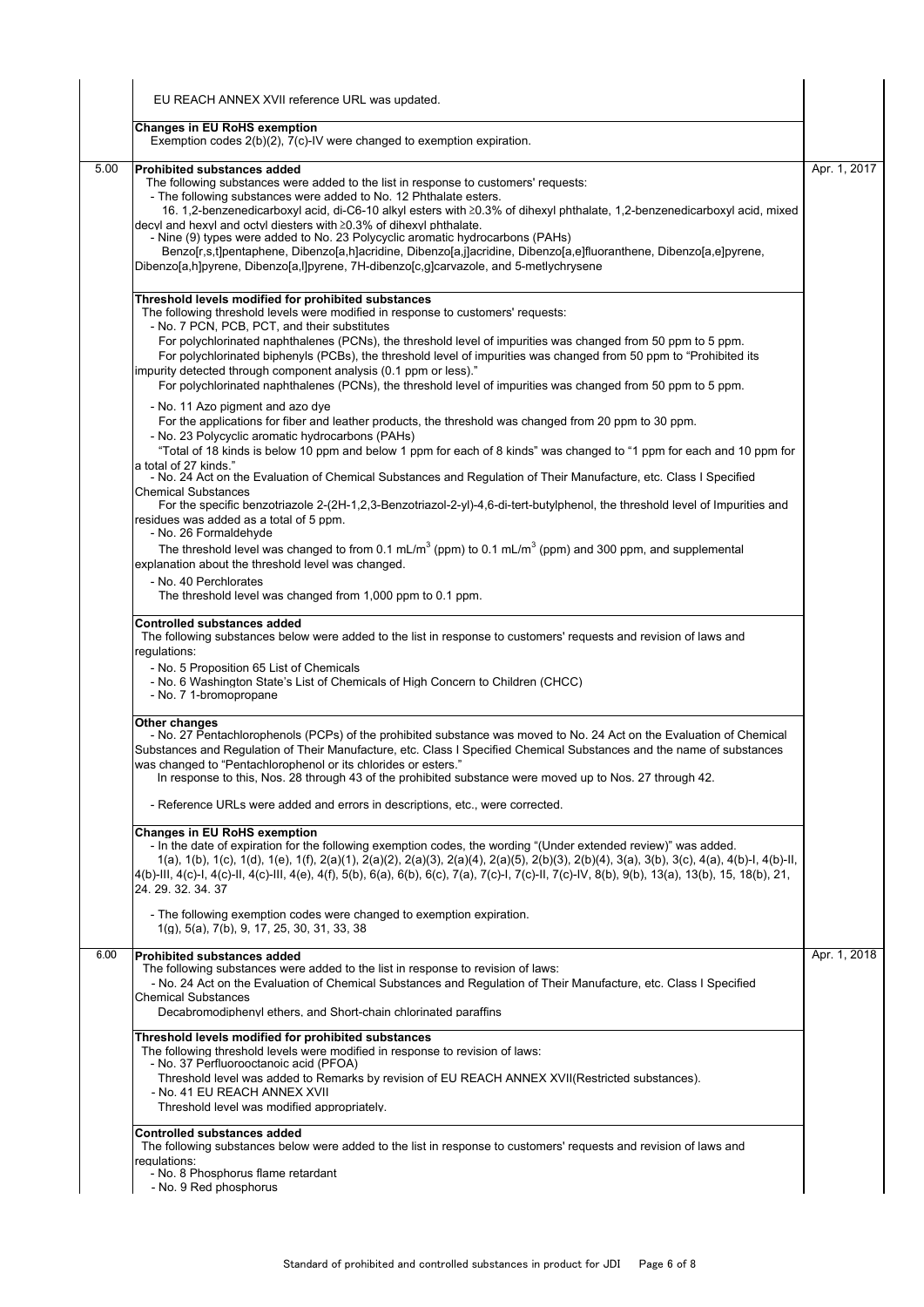|      | EU REACH ANNEX XVII reference URL was updated.                                                                                                                                                                                                                                                                                                                                                                                                                                                                                                                                                                                                                                                         |              |  |
|------|--------------------------------------------------------------------------------------------------------------------------------------------------------------------------------------------------------------------------------------------------------------------------------------------------------------------------------------------------------------------------------------------------------------------------------------------------------------------------------------------------------------------------------------------------------------------------------------------------------------------------------------------------------------------------------------------------------|--------------|--|
|      | <b>Changes in EU RoHS exemption</b><br>Exemption codes 2(b)(2), 7(c)-IV were changed to exemption expiration.                                                                                                                                                                                                                                                                                                                                                                                                                                                                                                                                                                                          |              |  |
| 5.00 | Prohibited substances added<br>The following substances were added to the list in response to customers' requests:<br>- The following substances were added to No. 12 Phthalate esters.<br>16. 1,2-benzenedicarboxyl acid, di-C6-10 alkyl esters with ≥0.3% of dihexyl phthalate, 1,2-benzenedicarboxyl acid, mixed<br>decyl and hexyl and octyl diesters with $\geq$ 0.3% of dihexyl phthalate.<br>- Nine (9) types were added to No. 23 Polycyclic aromatic hydrocarbons (PAHs)<br>Benzo[r,s,t]pentaphene, Dibenzo[a,h]acridine, Dibenzo[a,j]acridine, Dibenzo[a,e]fluoranthene, Dibenzo[a,e]pyrene,<br>Dibenzo[a,h]pyrene, Dibenzo[a,l]pyrene, 7H-dibenzo[c,g]carvazole, and 5-metlychrysene        | Apr. 1, 2017 |  |
|      | Threshold levels modified for prohibited substances<br>The following threshold levels were modified in response to customers' requests:<br>- No. 7 PCN, PCB, PCT, and their substitutes<br>For polychlorinated naphthalenes (PCNs), the threshold level of impurities was changed from 50 ppm to 5 ppm.<br>For polychlorinated biphenyls (PCBs), the threshold level of impurities was changed from 50 ppm to "Prohibited its<br>impurity detected through component analysis (0.1 ppm or less)."<br>For polychlorinated naphthalenes (PCNs), the threshold level of impurities was changed from 50 ppm to 5 ppm.                                                                                      |              |  |
|      | - No. 11 Azo pigment and azo dye<br>For the applications for fiber and leather products, the threshold was changed from 20 ppm to 30 ppm.<br>- No. 23 Polycyclic aromatic hydrocarbons (PAHs)<br>"Total of 18 kinds is below 10 ppm and below 1 ppm for each of 8 kinds" was changed to "1 ppm for each and 10 ppm for<br>a total of 27 kinds."<br>- No. 24 Act on the Evaluation of Chemical Substances and Regulation of Their Manufacture, etc. Class I Specified<br><b>Chemical Substances</b><br>For the specific benzotriazole 2-(2H-1,2,3-Benzotriazol-2-yl)-4,6-di-tert-butylphenol, the threshold level of Impurities and<br>residues was added as a total of 5 ppm.<br>- No. 26 Formaldehyde |              |  |
|      | The threshold level was changed to from 0.1 mL/m <sup>3</sup> (ppm) to 0.1 mL/m <sup>3</sup> (ppm) and 300 ppm, and supplemental<br>explanation about the threshold level was changed.<br>- No. 40 Perchlorates<br>The threshold level was changed from 1,000 ppm to 0.1 ppm.<br><b>Controlled substances added</b>                                                                                                                                                                                                                                                                                                                                                                                    |              |  |
|      | The following substances below were added to the list in response to customers' requests and revision of laws and<br>regulations:<br>- No. 5 Proposition 65 List of Chemicals<br>- No. 6 Washington State's List of Chemicals of High Concern to Children (CHCC)<br>- No. 7 1-bromopropane                                                                                                                                                                                                                                                                                                                                                                                                             |              |  |
|      | Other changes<br>- No. 27 Pentachlorophenols (PCPs) of the prohibited substance was moved to No. 24 Act on the Evaluation of Chemical<br>Substances and Regulation of Their Manufacture, etc. Class I Specified Chemical Substances and the name of substances<br>was changed to "Pentachlorophenol or its chlorides or esters."<br>In response to this, Nos. 28 through 43 of the prohibited substance were moved up to Nos. 27 through 42.                                                                                                                                                                                                                                                           |              |  |
|      | - Reference URLs were added and errors in descriptions, etc., were corrected.                                                                                                                                                                                                                                                                                                                                                                                                                                                                                                                                                                                                                          |              |  |
|      | <b>Changes in EU RoHS exemption</b><br>- In the date of expiration for the following exemption codes, the wording "(Under extended review)" was added.<br>$1(a)$ , $1(b)$ , $1(c)$ , $1(d)$ , $1(e)$ , $1(f)$ , $2(a)(1)$ , $2(a)(2)$ , $2(a)(3)$ , $2(a)(4)$ , $2(a)(5)$ , $2(b)(3)$ , $2(b)(4)$ , $3(a)$ , $3(b)$ , $3(c)$ , $4(a)$ , $4(b)$ -I, $4(b)$ -II,<br>4(b)-III, 4(c)-I, 4(c)-II, 4(c)-III, 4(e), 4(f), 5(b), 6(a), 6(b), 6(c), 7(a), 7(c)-I, 7(c)-II, 7(c)-IV, 8(b), 9(b), 13(a), 13(b), 15, 18(b), 21,<br>24.29.32.34.37                                                                                                                                                                  |              |  |
|      | - The following exemption codes were changed to exemption expiration.<br>$1(g)$ , 5(a), 7(b), 9, 17, 25, 30, 31, 33, 38                                                                                                                                                                                                                                                                                                                                                                                                                                                                                                                                                                                |              |  |
| 6.00 | <b>Prohibited substances added</b><br>The following substances were added to the list in response to revision of laws:<br>- No. 24 Act on the Evaluation of Chemical Substances and Regulation of Their Manufacture, etc. Class I Specified<br><b>Chemical Substances</b><br>Decabromodiphenyl ethers, and Short-chain chlorinated paraffins                                                                                                                                                                                                                                                                                                                                                           | Apr. 1, 2018 |  |
|      | Threshold levels modified for prohibited substances<br>The following threshold levels were modified in response to revision of laws:<br>- No. 37 Perfluorooctanoic acid (PFOA)<br>Threshold level was added to Remarks by revision of EU REACH ANNEX XVII(Restricted substances).<br>- No. 41 EU REACH ANNEX XVII<br>Threshold level was modified appropriately.                                                                                                                                                                                                                                                                                                                                       |              |  |
|      | <b>Controlled substances added</b><br>The following substances below were added to the list in response to customers' requests and revision of laws and<br>requlations:<br>- No. 8 Phosphorus flame retardant<br>- No. 9 Red phosphorus                                                                                                                                                                                                                                                                                                                                                                                                                                                                |              |  |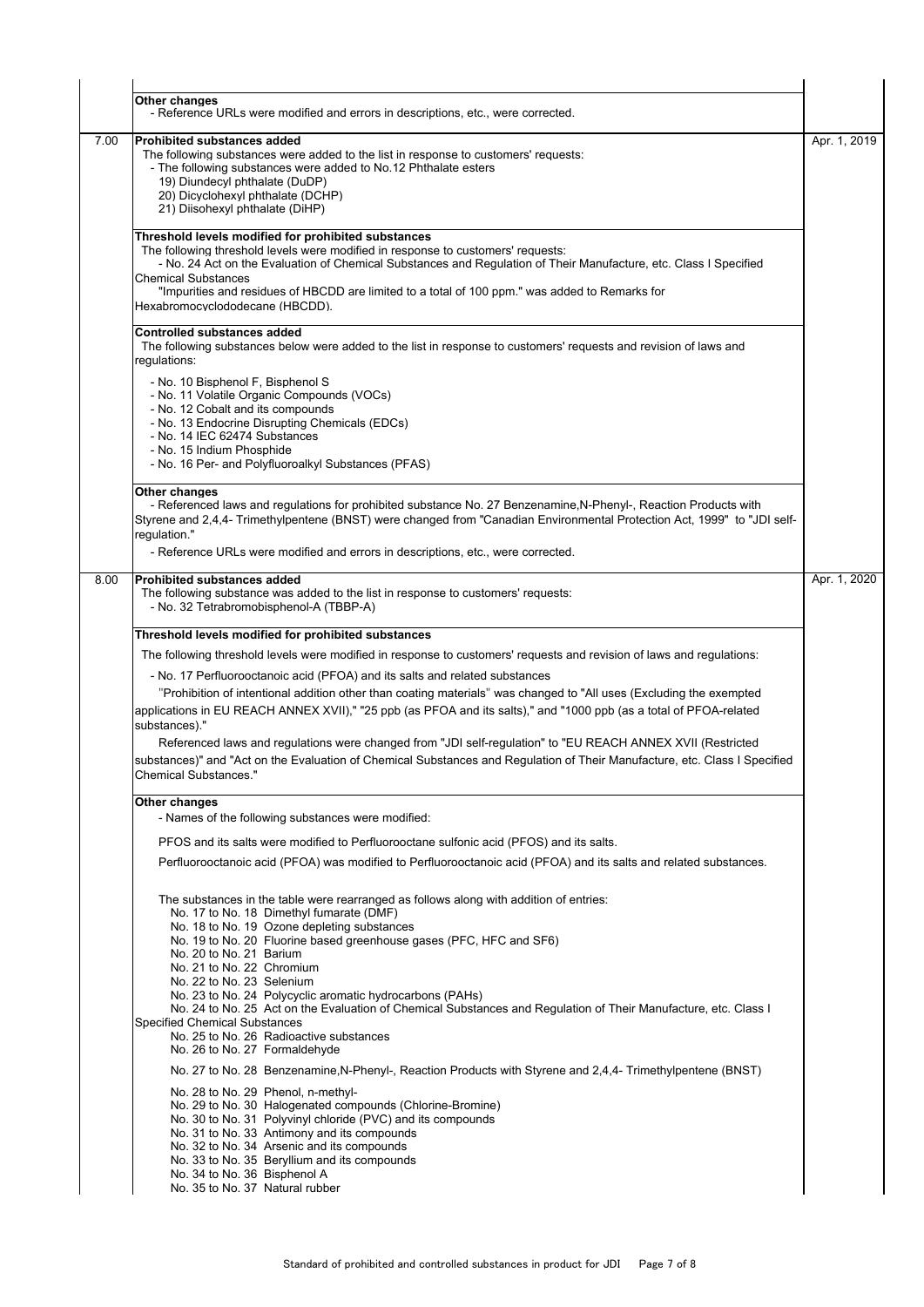|      | Other changes<br>- Reference URLs were modified and errors in descriptions, etc., were corrected.                                                                                                                                                                                                                                                                                                                                                                                                                                                                                                                                                                                                                                                                                               |              |  |  |  |
|------|-------------------------------------------------------------------------------------------------------------------------------------------------------------------------------------------------------------------------------------------------------------------------------------------------------------------------------------------------------------------------------------------------------------------------------------------------------------------------------------------------------------------------------------------------------------------------------------------------------------------------------------------------------------------------------------------------------------------------------------------------------------------------------------------------|--------------|--|--|--|
| 7.00 | <b>Prohibited substances added</b><br>The following substances were added to the list in response to customers' requests:<br>- The following substances were added to No.12 Phthalate esters<br>19) Diundecyl phthalate (DuDP)<br>20) Dicyclohexyl phthalate (DCHP)<br>21) Diisohexyl phthalate (DiHP)                                                                                                                                                                                                                                                                                                                                                                                                                                                                                          | Apr. 1, 2019 |  |  |  |
|      | Threshold levels modified for prohibited substances<br>The following threshold levels were modified in response to customers' requests:<br>- No. 24 Act on the Evaluation of Chemical Substances and Regulation of Their Manufacture, etc. Class I Specified<br><b>Chemical Substances</b><br>"Impurities and residues of HBCDD are limited to a total of 100 ppm." was added to Remarks for<br>Hexabromocyclododecane (HBCDD).                                                                                                                                                                                                                                                                                                                                                                 |              |  |  |  |
|      | <b>Controlled substances added</b><br>The following substances below were added to the list in response to customers' requests and revision of laws and<br>regulations:                                                                                                                                                                                                                                                                                                                                                                                                                                                                                                                                                                                                                         |              |  |  |  |
|      | - No. 10 Bisphenol F, Bisphenol S<br>- No. 11 Volatile Organic Compounds (VOCs)<br>- No. 12 Cobalt and its compounds<br>- No. 13 Endocrine Disrupting Chemicals (EDCs)<br>- No. 14 IEC 62474 Substances<br>- No. 15 Indium Phosphide<br>- No. 16 Per- and Polyfluoroalkyl Substances (PFAS)                                                                                                                                                                                                                                                                                                                                                                                                                                                                                                     |              |  |  |  |
|      | Other changes<br>- Referenced laws and regulations for prohibited substance No. 27 Benzenamine, N-Phenyl-, Reaction Products with<br>Styrene and 2,4,4- Trimethylpentene (BNST) were changed from "Canadian Environmental Protection Act, 1999" to "JDI self-<br>regulation."<br>- Reference URLs were modified and errors in descriptions, etc., were corrected.                                                                                                                                                                                                                                                                                                                                                                                                                               |              |  |  |  |
| 8.00 | <b>Prohibited substances added</b><br>The following substance was added to the list in response to customers' requests:<br>- No. 32 Tetrabromobisphenol-A (TBBP-A)                                                                                                                                                                                                                                                                                                                                                                                                                                                                                                                                                                                                                              | Apr. 1, 2020 |  |  |  |
|      | Threshold levels modified for prohibited substances<br>The following threshold levels were modified in response to customers' requests and revision of laws and regulations:<br>- No. 17 Perfluorooctanoic acid (PFOA) and its salts and related substances<br>"Prohibition of intentional addition other than coating materials" was changed to "All uses (Excluding the exempted<br>applications in EU REACH ANNEX XVII)," "25 ppb (as PFOA and its salts)," and "1000 ppb (as a total of PFOA-related<br>substances)."<br>Referenced laws and regulations were changed from "JDI self-regulation" to "EU REACH ANNEX XVII (Restricted<br>substances)" and "Act on the Evaluation of Chemical Substances and Regulation of Their Manufacture, etc. Class I Specified<br>Chemical Substances." |              |  |  |  |
|      | Other changes<br>- Names of the following substances were modified:                                                                                                                                                                                                                                                                                                                                                                                                                                                                                                                                                                                                                                                                                                                             |              |  |  |  |
|      | PFOS and its salts were modified to Perfluorooctane sulfonic acid (PFOS) and its salts.<br>Perfluorooctanoic acid (PFOA) was modified to Perfluorooctanoic acid (PFOA) and its salts and related substances.                                                                                                                                                                                                                                                                                                                                                                                                                                                                                                                                                                                    |              |  |  |  |
|      | The substances in the table were rearranged as follows along with addition of entries:<br>No. 17 to No. 18 Dimethyl fumarate (DMF)<br>No. 18 to No. 19 Ozone depleting substances<br>No. 19 to No. 20 Fluorine based greenhouse gases (PFC, HFC and SF6)<br>No. 20 to No. 21 Barium<br>No. 21 to No. 22 Chromium<br>No. 22 to No. 23 Selenium<br>No. 23 to No. 24 Polycyclic aromatic hydrocarbons (PAHs)<br>No. 24 to No. 25 Act on the Evaluation of Chemical Substances and Regulation of Their Manufacture, etc. Class I<br><b>Specified Chemical Substances</b><br>No. 25 to No. 26 Radioactive substances<br>No. 26 to No. 27 Formaldehyde                                                                                                                                                |              |  |  |  |
|      | No. 27 to No. 28 Benzenamine, N-Phenyl-, Reaction Products with Styrene and 2,4,4- Trimethylpentene (BNST)                                                                                                                                                                                                                                                                                                                                                                                                                                                                                                                                                                                                                                                                                      |              |  |  |  |
|      | No. 28 to No. 29 Phenol, n-methyl-<br>No. 29 to No. 30 Halogenated compounds (Chlorine-Bromine)<br>No. 30 to No. 31 Polyvinyl chloride (PVC) and its compounds<br>No. 31 to No. 33 Antimony and its compounds<br>No. 32 to No. 34 Arsenic and its compounds<br>No. 33 to No. 35 Beryllium and its compounds<br>No. 34 to No. 36 Bisphenol A<br>No. 35 to No. 37 Natural rubber                                                                                                                                                                                                                                                                                                                                                                                                                  |              |  |  |  |